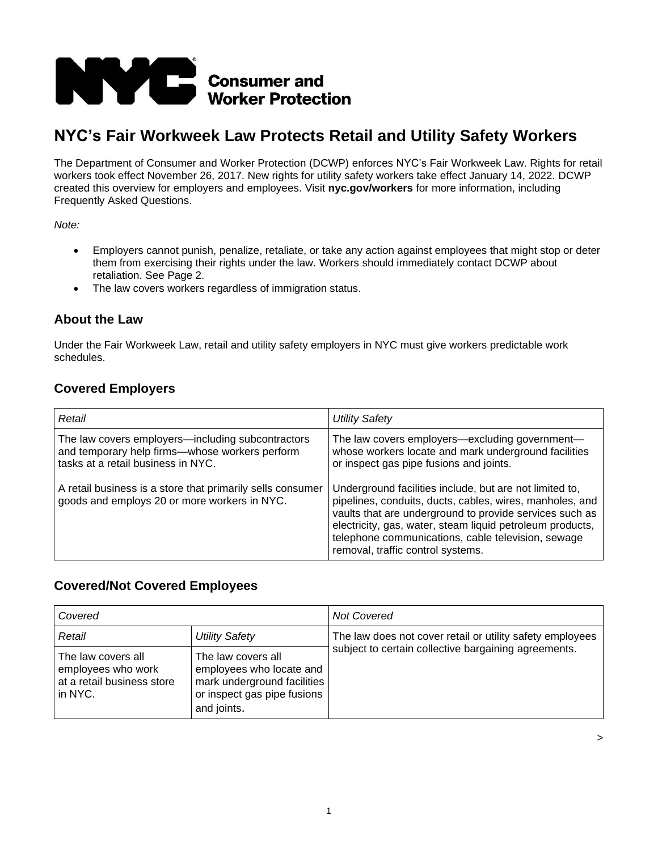

# **NYC's Fair Workweek Law Protects Retail and Utility Safety Workers**

The Department of Consumer and Worker Protection (DCWP) enforces NYC's Fair Workweek Law. Rights for retail workers took effect November 26, 2017. New rights for utility safety workers take effect January 14, 2022. DCWP created this overview for employers and employees. Visit **nyc.gov/workers** for more information, including Frequently Asked Questions.

*Note:*

- Employers cannot punish, penalize, retaliate, or take any action against employees that might stop or deter them from exercising their rights under the law. Workers should immediately contact DCWP about retaliation. See Page 2.
- The law covers workers regardless of immigration status.

#### **About the Law**

Under the Fair Workweek Law, retail and utility safety employers in NYC must give workers predictable work schedules.

## **Covered Employers**

| Retail                                                                                                                                     | Utility Safety                                                                                                                                                                                                                                                                                                                         |
|--------------------------------------------------------------------------------------------------------------------------------------------|----------------------------------------------------------------------------------------------------------------------------------------------------------------------------------------------------------------------------------------------------------------------------------------------------------------------------------------|
| The law covers employers—including subcontractors<br>and temporary help firms--whose workers perform<br>tasks at a retail business in NYC. | The law covers employers-excluding government-<br>whose workers locate and mark underground facilities<br>or inspect gas pipe fusions and joints.                                                                                                                                                                                      |
| A retail business is a store that primarily sells consumer<br>goods and employs 20 or more workers in NYC.                                 | Underground facilities include, but are not limited to,<br>pipelines, conduits, ducts, cables, wires, manholes, and<br>vaults that are underground to provide services such as<br>electricity, gas, water, steam liquid petroleum products,<br>telephone communications, cable television, sewage<br>removal, traffic control systems. |

## **Covered/Not Covered Employees**

| Covered                                                                           |                                                                                                                             | <b>Not Covered</b>                                        |
|-----------------------------------------------------------------------------------|-----------------------------------------------------------------------------------------------------------------------------|-----------------------------------------------------------|
| Retail                                                                            | Utility Safety                                                                                                              | The law does not cover retail or utility safety employees |
| The law covers all<br>employees who work<br>at a retail business store<br>in NYC. | The law covers all<br>employees who locate and<br>mark underground facilities<br>or inspect gas pipe fusions<br>and joints. | subject to certain collective bargaining agreements.      |